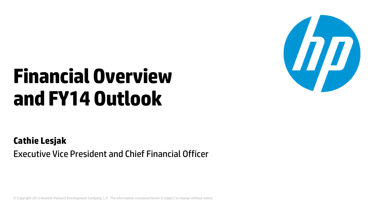# **Financial Overview and FY14 Outlook**



#### **Cathie Lesjak**

Executive Vice President and Chief Financial Officer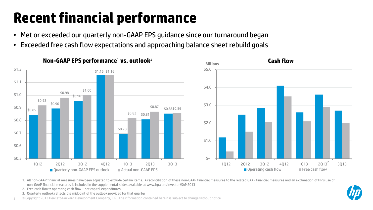# **Recent financial performance**

- Met or exceeded our quarterly non-GAAP EPS guidance since our turnaround began
- Exceeded free cash flow expectations and approaching balance sheet rebuild goals



1. All non-GAAP financial measures have been adjusted to exclude certain items. A reconciliation of these non-GAAP financial measures to the related GAAP financial measures and an explanation of HP's use of non-GAAP financial measures is included in the supplemental slides available at www.hp.com/investor/SAM2013

- 2. Free cash flow = operating cash flow net capital expenditures
- 3. Quarterly outlook reflects the midpoint of the outlook provided for that quarter
- 2 © Copyright 2013 Hewlett-Packard Development Company, L.P. The information contained herein is subject to change without notice.

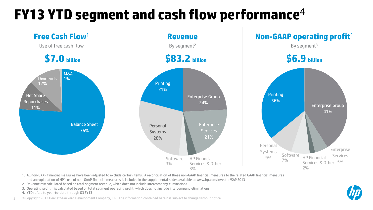### **FY13 YTD segment and cash flow performance**<sup>4</sup>



1. All non-GAAP financial measures have been adjusted to exclude certain items. A reconciliation of these non-GAAP financial measures to the related GAAP financial measures and an explanation of HP's use of non-GAAP financial measures is included in the supplemental slides available at www.hp.com/investor/SAM2013

- 2. Revenue mix calculated based on total segment revenue, which does not include intercompany eliminations
- 3. Operating profit mix calculated based on total segment operating profit, which does not include intercompany eliminations
- 4. YTD refers to year-to-date through Q3 FY13

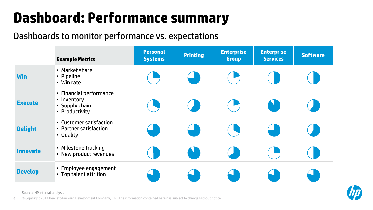### **Dashboard: Performance summary**

#### Dashboards to monitor performance vs. expectations

|                 | <b>Example Metrics</b>                                                     | <b>Personal</b><br><b>Systems</b> | <b>Printing</b> | <b>Enterprise</b><br><b>Group</b> | <b>Enterprise</b><br><b>Services</b> | <b>Software</b> |
|-----------------|----------------------------------------------------------------------------|-----------------------------------|-----------------|-----------------------------------|--------------------------------------|-----------------|
| <b>Win</b>      | • Market share<br>• Pipeline<br>• Win rate                                 |                                   |                 |                                   |                                      |                 |
| <b>Execute</b>  | • Financial performance<br>• Inventory<br>• Supply chain<br>• Productivity |                                   |                 |                                   |                                      |                 |
| <b>Delight</b>  | • Customer satisfaction<br>• Partner satisfaction<br>• Quality             |                                   |                 |                                   |                                      |                 |
| <b>Innovate</b> | • Milestone tracking<br>• New product revenues                             |                                   |                 |                                   |                                      |                 |
| <b>Develop</b>  | • Employee engagement<br>• Top talent attrition                            |                                   |                 |                                   |                                      |                 |



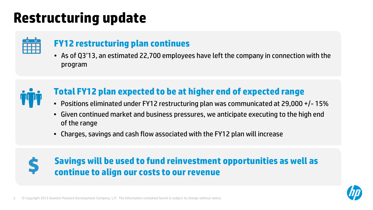### **Restructuring update**



### **FY12 restructuring plan continues**

• As of Q3'13, an estimated 22,700 employees have left the company in connection with the program



### **Total FY12 plan expected to be at higher end of expected range**

- Positions eliminated under FY12 restructuring plan was communicated at 29,000 +/- 15%
- Given continued market and business pressures, we anticipate executing to the high end of the range
- Charges, savings and cash flow associated with the FY12 plan will increase



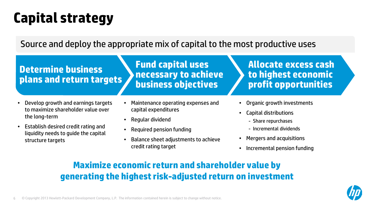## **Capital strategy**

Source and deploy the appropriate mix of capital to the most productive uses

#### **Determine business plans and return targets**

**Fund capital uses necessary to achieve business objectives**

#### • Develop growth and earnings targets to maximize shareholder value over the long-term

- Establish desired credit rating and liquidity needs to guide the capital structure targets
- Maintenance operating expenses and capital expenditures
- Regular dividend
- Required pension funding
- Balance sheet adjustments to achieve credit rating target
- **Allocate excess cash to highest economic profit opportunities**
- Organic growth investments
- Capital distributions
	- Share repurchases
	- Incremental dividends
- Mergers and acquisitions
- Incremental pension funding

### **Maximize economic return and shareholder value by generating the highest risk-adjusted return on investment**

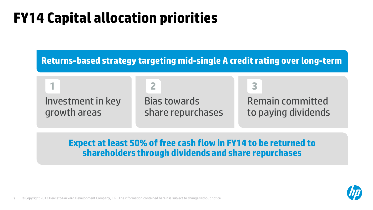### **FY14 Capital allocation priorities**

**Returns-based strategy targeting mid-single A credit rating over long-term**

**1 2 3**

Investment in key growth areas

Bias towards share repurchases

Remain committed to paying dividends

**Expect at least 50% of free cash flow in FY14 to be returned to shareholders through dividends and share repurchases**

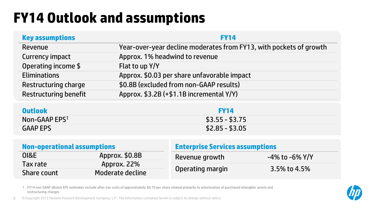## **FY14 Outlook and assumptions**

| <b>Key assumptions</b>       | <b>FY14</b>                                                        |
|------------------------------|--------------------------------------------------------------------|
| Revenue                      | Year-over-year decline moderates from FY13, with pockets of growth |
| <b>Currency impact</b>       | Approx. 1% headwind to revenue                                     |
| Operating income \$          | Flat to up Y/Y                                                     |
| <b>Eliminations</b>          | Approx. \$0.03 per share unfavorable impact                        |
| <b>Restructuring charge</b>  | \$0.8B (excluded from non-GAAP results)                            |
| <b>Restructuring benefit</b> | Approx. \$3.2B (+\$1.1B incremental Y/Y)                           |
| <b>Outlook</b>               | <b>FY14</b>                                                        |

| UULLUUK                   | .               |
|---------------------------|-----------------|
| Non-GAAP EPS <sup>1</sup> | $$3.55 - $3.75$ |
| <b>GAAPEPS</b>            | $$2.85 - $3.05$ |

| <b>Non-operational assumptions</b> |                  | <b>Enterprise Services assumptions</b> |                |  |
|------------------------------------|------------------|----------------------------------------|----------------|--|
| <b>OI&amp;E</b>                    | Approx. \$0.8B   | Revenue growth                         | -4% to -6% Y/Y |  |
| Tax rate                           | Approx. 22%      |                                        | 3.5% to 4.5%   |  |
| Share count                        | Moderate decline | Operating margin                       |                |  |

1. FY14 non-GAAP diluted EPS estimates exclude after-tax costs of approximately \$0.70 per share related primarily to amortization of purchased intangible assets and restructuring charges

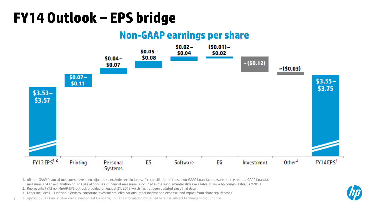### **FY14 Outlook – EPS bridge**

### **Non-GAAP earnings per share**



1. All non-GAAP financial measures have been adjusted to exclude certain items. A reconciliation of these non-GAAP financial measures to the related GAAP financial measures and an explanation of HP's use of non-GAAP financial measures is included in the supplemental slides available at www.hp.com/investor/SAM2013

- 2. Represents FY13 non-GAAP EPS outlook provided on August 21, 2013 which has not been updated since that date
- 3. Other includes HP Financial Services, corporate investments, eliminations, other income and expense, and impact from share repurchases

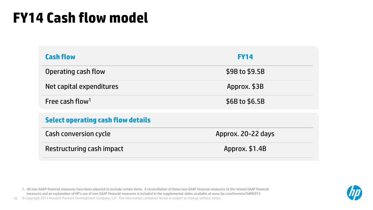### **FY14 Cash flow model**

| <b>Cash flow</b>                          | <b>FY14</b>        |
|-------------------------------------------|--------------------|
| Operating cash flow                       | \$9B to \$9.5B     |
| Net capital expenditures                  | Approx. \$3B       |
| Free cash flow <sup>1</sup>               | \$6B to \$6.5B     |
| <b>Select operating cash flow details</b> |                    |
| Cash conversion cycle                     | Approx. 20-22 days |
| Restructuring cash impact                 | Approx. \$1.4B     |

1. All non-GAAP financial measures have been adjusted to exclude certain items. A reconciliation of these non-GAAP financial measures to the related GAAP financial measures and an explanation of HP's use of non-GAAP financial measures is included in the supplemental slides available at www.hp.com/investor/SAM2013

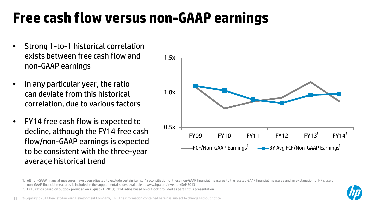### **Free cash flow versus non-GAAP earnings**

- Strong 1-to-1 historical correlation exists between free cash flow and non-GAAP earnings
- In any particular year, the ratio can deviate from this historical correlation, due to various factors
- FY14 free cash flow is expected to decline, although the FY14 free cash flow/non-GAAP earnings is expected to be consistent with the three-year average historical trend



2. FY13 ratios based on outlook provided on August 21, 2013; FY14 ratios based on outlook provided as part of this presentation



<sup>1.</sup> All non-GAAP financial measures have been adjusted to exclude certain items. A reconciliation of these non-GAAP financial measures to the related GAAP financial measures and an explanation of HP's use of non-GAAP financial measures is included in the supplemental slides available at www.hp.com/investor/SAM2013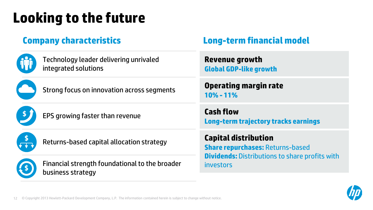# **Looking to the future**

| I |  |
|---|--|
|   |  |

Technology leader delivering unrivaled integrated solutions



Strong focus on innovation across segments



EPS growing faster than revenue



Returns-based capital allocation strategy



Financial strength foundational to the broader business strategy

### **Company characteristics Long-term financial model**

**Revenue growth Global GDP-like growth**

**Operating margin rate 10% - 11%**

**Cash flow Long-term trajectory tracks earnings**

**Capital distribution Share repurchases:** Returns-based **Dividends:** Distributions to share profits with investors

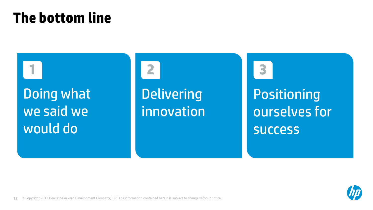### **The bottom line**

Doing what we said we would do

**Delivering** innovation

Positioning ourselves for success **1 2 3**